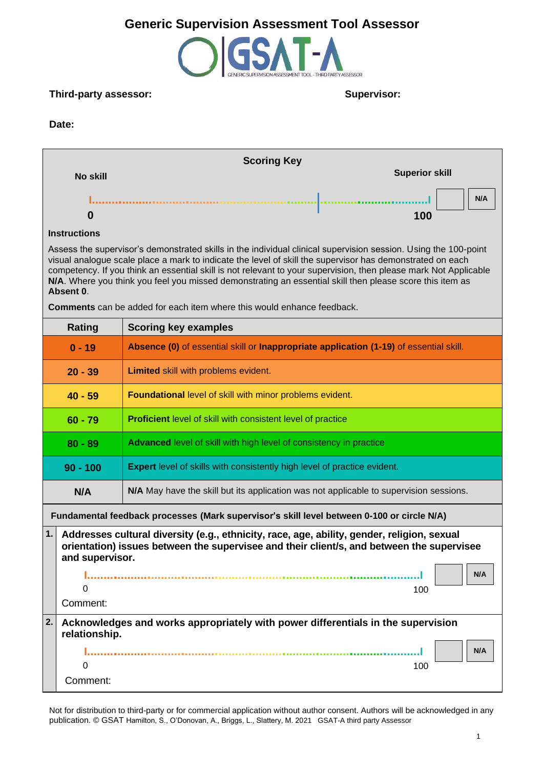

## **Third-party assessor: Supervisor:**

## **Date:**



### **Instructions**

Assess the supervisor's demonstrated skills in the individual clinical supervision session. Using the 100-point visual analogue scale place a mark to indicate the level of skill the supervisor has demonstrated on each competency. If you think an essential skill is not relevant to your supervision, then please mark Not Applicable **N/A**. Where you think you feel you missed demonstrating an essential skill then please score this item as **Absent 0**.

**Comments** can be added for each item where this would enhance feedback.

|    | Rating                                                             | <b>Scoring key examples</b>                                                                                                                                                              |
|----|--------------------------------------------------------------------|------------------------------------------------------------------------------------------------------------------------------------------------------------------------------------------|
|    | $0 - 19$                                                           | Absence (0) of essential skill or Inappropriate application (1-19) of essential skill.                                                                                                   |
|    | $20 - 39$                                                          | Limited skill with problems evident.                                                                                                                                                     |
|    | $40 - 59$                                                          | Foundational level of skill with minor problems evident.                                                                                                                                 |
|    | <b>Proficient</b> level of skill with consistent level of practice |                                                                                                                                                                                          |
|    | $80 - 89$                                                          | <b>Advanced</b> level of skill with high level of consistency in practice                                                                                                                |
|    | $90 - 100$                                                         | <b>Expert</b> level of skills with consistently high level of practice evident.                                                                                                          |
|    | N/A                                                                | N/A May have the skill but its application was not applicable to supervision sessions.                                                                                                   |
|    |                                                                    |                                                                                                                                                                                          |
|    |                                                                    | Fundamental feedback processes (Mark supervisor's skill level between 0-100 or circle N/A)                                                                                               |
| 1. | and supervisor.                                                    | Addresses cultural diversity (e.g., ethnicity, race, age, ability, gender, religion, sexual<br>orientation) issues between the supervisee and their client/s, and between the supervisee |
|    |                                                                    | N/A                                                                                                                                                                                      |
|    | 0                                                                  | 100                                                                                                                                                                                      |
|    | Comment:                                                           |                                                                                                                                                                                          |
| 2. |                                                                    | Acknowledges and works appropriately with power differentials in the supervision                                                                                                         |
|    | relationship.                                                      | N/A                                                                                                                                                                                      |
|    | 0                                                                  | 100                                                                                                                                                                                      |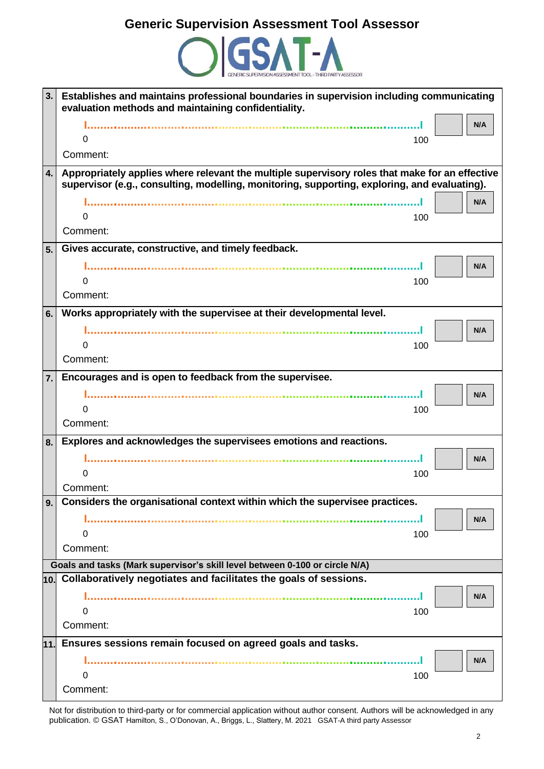

| 3.               | Establishes and maintains professional boundaries in supervision including communicating<br>evaluation methods and maintaining confidentiality.                                                |
|------------------|------------------------------------------------------------------------------------------------------------------------------------------------------------------------------------------------|
|                  | N/A                                                                                                                                                                                            |
|                  | 0<br>100                                                                                                                                                                                       |
|                  | Comment:                                                                                                                                                                                       |
| 4.               | Appropriately applies where relevant the multiple supervisory roles that make for an effective<br>supervisor (e.g., consulting, modelling, monitoring, supporting, exploring, and evaluating). |
|                  | N/A                                                                                                                                                                                            |
|                  | 100<br>0                                                                                                                                                                                       |
|                  | Comment:                                                                                                                                                                                       |
| 5.               | Gives accurate, constructive, and timely feedback.                                                                                                                                             |
|                  | N/A                                                                                                                                                                                            |
|                  | 0<br>100                                                                                                                                                                                       |
|                  | Comment:                                                                                                                                                                                       |
| 6.               | Works appropriately with the supervisee at their developmental level.                                                                                                                          |
|                  | N/A                                                                                                                                                                                            |
|                  | 0<br>100                                                                                                                                                                                       |
|                  | Comment:                                                                                                                                                                                       |
| $\overline{7}$ . | Encourages and is open to feedback from the supervisee.                                                                                                                                        |
|                  | N/A                                                                                                                                                                                            |
|                  | 0<br>100                                                                                                                                                                                       |
|                  | Comment:                                                                                                                                                                                       |
| 8.               | Explores and acknowledges the supervisees emotions and reactions.                                                                                                                              |
|                  | N/A                                                                                                                                                                                            |
|                  | 0<br>100                                                                                                                                                                                       |
|                  | Comment:                                                                                                                                                                                       |
| 9.               | Considers the organisational context within which the supervisee practices.                                                                                                                    |
|                  | N/A                                                                                                                                                                                            |
|                  | 0<br>100                                                                                                                                                                                       |
|                  | Comment:                                                                                                                                                                                       |
|                  | Goals and tasks (Mark supervisor's skill level between 0-100 or circle N/A)                                                                                                                    |
| 10.              | Collaboratively negotiates and facilitates the goals of sessions.                                                                                                                              |
|                  | N/A                                                                                                                                                                                            |
|                  | 100<br>0                                                                                                                                                                                       |
|                  | Comment:                                                                                                                                                                                       |
| 11.              | Ensures sessions remain focused on agreed goals and tasks.                                                                                                                                     |
|                  | N/A                                                                                                                                                                                            |
|                  | 0<br>100                                                                                                                                                                                       |
|                  | Comment:                                                                                                                                                                                       |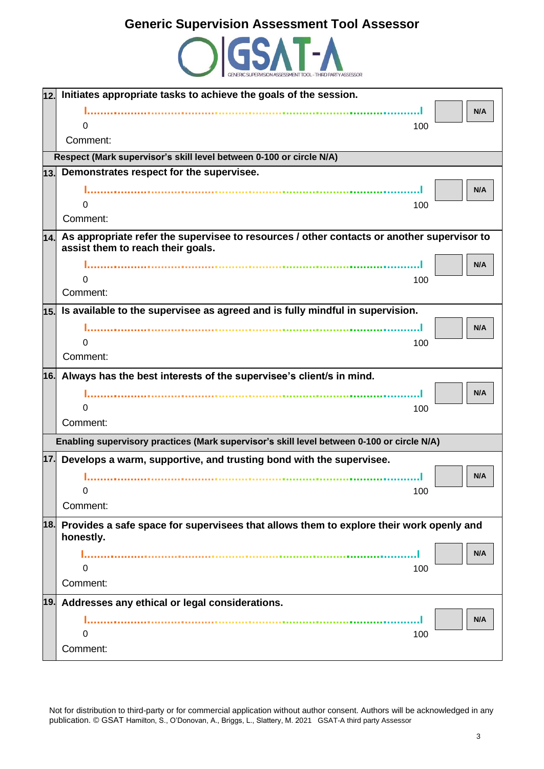

| 12. | Initiates appropriate tasks to achieve the goals of the session.                                       |     |
|-----|--------------------------------------------------------------------------------------------------------|-----|
|     |                                                                                                        | N/A |
|     | O<br>100                                                                                               |     |
|     | Comment:                                                                                               |     |
|     | Respect (Mark supervisor's skill level between 0-100 or circle N/A)                                    |     |
|     | 13. Demonstrates respect for the supervisee.                                                           |     |
|     |                                                                                                        | N/A |
|     | 0<br>100                                                                                               |     |
|     | Comment:                                                                                               |     |
|     | $\vert$ 14. As appropriate refer the supervisee to resources / other contacts or another supervisor to |     |
|     | assist them to reach their goals.                                                                      |     |
|     |                                                                                                        | N/A |
|     | 100<br>O                                                                                               |     |
|     | Comment:                                                                                               |     |
| 15. | Is available to the supervisee as agreed and is fully mindful in supervision.                          |     |
|     |                                                                                                        | N/A |
|     | 0<br>100                                                                                               |     |
|     | Comment:                                                                                               |     |
| 16. | Always has the best interests of the supervisee's client/s in mind.                                    |     |
|     |                                                                                                        | N/A |
|     | 0<br>100                                                                                               |     |
|     | Comment:                                                                                               |     |
|     | Enabling supervisory practices (Mark supervisor's skill level between 0-100 or circle N/A)             |     |
| 17. | Develops a warm, supportive, and trusting bond with the supervisee.                                    |     |
|     |                                                                                                        | N/A |
|     | 0<br>100                                                                                               |     |
|     | Comment:                                                                                               |     |
|     | 18. Provides a safe space for supervisees that allows them to explore their work openly and            |     |
|     | honestly.                                                                                              |     |
|     |                                                                                                        | N/A |
|     | 0<br>100                                                                                               |     |
|     | Comment:                                                                                               |     |
| 19. | Addresses any ethical or legal considerations.                                                         |     |
|     |                                                                                                        | N/A |
|     | 100<br>0                                                                                               |     |
|     | Comment:                                                                                               |     |
|     |                                                                                                        |     |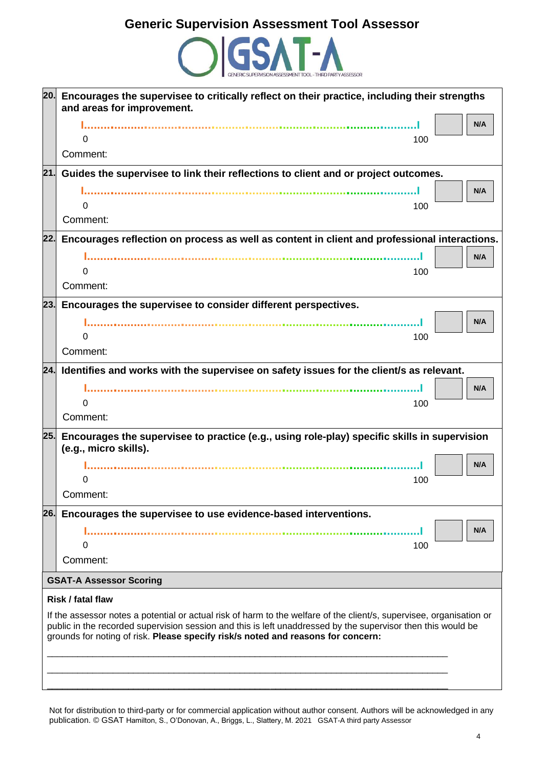

| 20. | Encourages the supervisee to critically reflect on their practice, including their strengths<br>and areas for improvement.                                                                       |
|-----|--------------------------------------------------------------------------------------------------------------------------------------------------------------------------------------------------|
|     | N/A                                                                                                                                                                                              |
|     | 100<br>0                                                                                                                                                                                         |
|     | Comment:                                                                                                                                                                                         |
| 21. | Guides the supervisee to link their reflections to client and or project outcomes.                                                                                                               |
|     | N/A                                                                                                                                                                                              |
|     | 0<br>100                                                                                                                                                                                         |
|     | Comment:                                                                                                                                                                                         |
| 22. | Encourages reflection on process as well as content in client and professional interactions.                                                                                                     |
|     | N/A                                                                                                                                                                                              |
|     | 0<br>100                                                                                                                                                                                         |
|     | Comment:                                                                                                                                                                                         |
| 23. | Encourages the supervisee to consider different perspectives.                                                                                                                                    |
|     | N/A                                                                                                                                                                                              |
|     | O<br>100                                                                                                                                                                                         |
|     | Comment:                                                                                                                                                                                         |
| 24. | Identifies and works with the supervisee on safety issues for the client/s as relevant.                                                                                                          |
|     | N/A                                                                                                                                                                                              |
|     | 0<br>100                                                                                                                                                                                         |
|     | Comment:                                                                                                                                                                                         |
| 25. | Encourages the supervisee to practice (e.g., using role-play) specific skills in supervision<br>(e.g., micro skills).                                                                            |
|     | N/A                                                                                                                                                                                              |
|     | 100                                                                                                                                                                                              |
|     | Comment:                                                                                                                                                                                         |
| 26. | Encourages the supervisee to use evidence-based interventions.                                                                                                                                   |
|     | N/A                                                                                                                                                                                              |
|     | 0<br>100                                                                                                                                                                                         |
|     | Comment:                                                                                                                                                                                         |
|     | <b>GSAT-A Assessor Scoring</b>                                                                                                                                                                   |
|     | Risk / fatal flaw                                                                                                                                                                                |
|     | If the assessor notes a potential or actual risk of harm to the welfare of the client/s, supervisee, organisation or                                                                             |
|     | public in the recorded supervision session and this is left unaddressed by the supervisor then this would be<br>grounds for noting of risk. Please specify risk/s noted and reasons for concern: |
|     |                                                                                                                                                                                                  |
|     |                                                                                                                                                                                                  |

Not for distribution to third-party or for commercial application without author consent. Authors will be acknowledged in any publication. © GSAT Hamilton, S., O'Donovan, A., Briggs, L., Slattery, M. 2021 GSAT-A third party Assessor

\_\_\_\_\_\_\_\_\_\_\_\_\_\_\_\_\_\_\_\_\_\_\_\_\_\_\_\_\_\_\_\_\_\_\_\_\_\_\_\_\_\_\_\_\_\_\_\_\_\_\_\_\_\_\_\_\_\_\_\_\_\_\_\_\_\_\_\_\_\_\_\_\_\_\_\_\_\_\_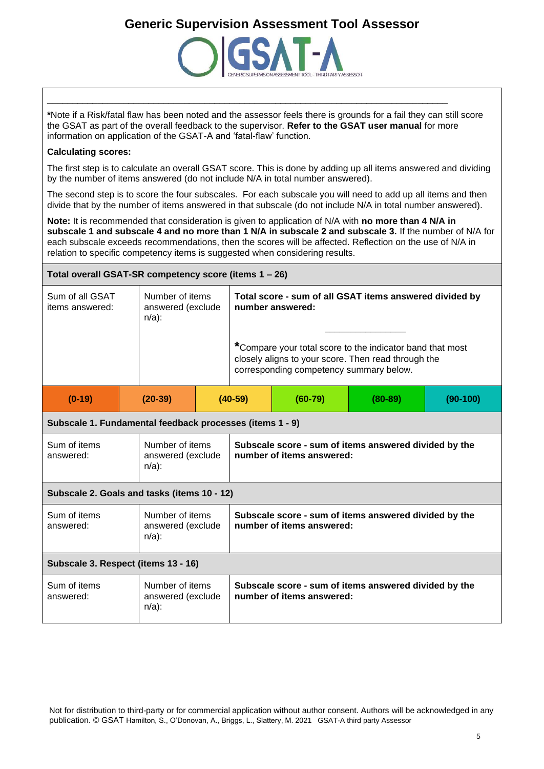

**\***Note if a Risk/fatal flaw has been noted and the assessor feels there is grounds for a fail they can still score the GSAT as part of the overall feedback to the supervisor. **Refer to the GSAT user manual** for more information on application of the GSAT-A and 'fatal-flaw' function.

\_\_\_\_\_\_\_\_\_\_\_\_\_\_\_\_\_\_\_\_\_\_\_\_\_\_\_\_\_\_\_\_\_\_\_\_\_\_\_\_\_\_\_\_\_\_\_\_\_\_\_\_\_\_\_\_\_\_\_\_\_\_\_\_\_\_\_\_\_\_\_\_\_\_\_\_\_\_\_

### **Calculating scores:**

The first step is to calculate an overall GSAT score. This is done by adding up all items answered and dividing by the number of items answered (do not include N/A in total number answered).

The second step is to score the four subscales. For each subscale you will need to add up all items and then divide that by the number of items answered in that subscale (do not include N/A in total number answered).

**Note:** It is recommended that consideration is given to application of N/A with **no more than 4 N/A in subscale 1 and subscale 4 and no more than 1 N/A in subscale 2 and subscale 3.** If the number of N/A for each subscale exceeds recommendations, then the scores will be affected. Reflection on the use of N/A in relation to specific competency items is suggested when considering results.

| Total overall GSAT-SR competency score (items 1 - 26)                                  |  |                                                  |                                                                             |                                                                                                                                                             |           |           |            |
|----------------------------------------------------------------------------------------|--|--------------------------------------------------|-----------------------------------------------------------------------------|-------------------------------------------------------------------------------------------------------------------------------------------------------------|-----------|-----------|------------|
| Sum of all GSAT<br>Number of items<br>items answered:<br>answered (exclude<br>$n/a$ ): |  |                                                  | Total score - sum of all GSAT items answered divided by<br>number answered: |                                                                                                                                                             |           |           |            |
|                                                                                        |  |                                                  |                                                                             | *Compare your total score to the indicator band that most<br>closely aligns to your score. Then read through the<br>corresponding competency summary below. |           |           |            |
| $(0-19)$                                                                               |  | $(20-39)$                                        |                                                                             | $(40-59)$                                                                                                                                                   | $(60-79)$ | $(80-89)$ | $(90-100)$ |
| Subscale 1. Fundamental feedback processes (items 1 - 9)                               |  |                                                  |                                                                             |                                                                                                                                                             |           |           |            |
| Sum of items<br>answered:                                                              |  | Number of items<br>answered (exclude<br>$n/a$ ): |                                                                             | Subscale score - sum of items answered divided by the<br>number of items answered:                                                                          |           |           |            |
| Subscale 2. Goals and tasks (items 10 - 12)                                            |  |                                                  |                                                                             |                                                                                                                                                             |           |           |            |
| Sum of items<br>answered:                                                              |  | Number of items<br>answered (exclude<br>$n/a$ ): |                                                                             | Subscale score - sum of items answered divided by the<br>number of items answered:                                                                          |           |           |            |
| Subscale 3. Respect (items 13 - 16)                                                    |  |                                                  |                                                                             |                                                                                                                                                             |           |           |            |
| Sum of items<br>answered:                                                              |  | Number of items<br>answered (exclude<br>$n/a$ ): |                                                                             | Subscale score - sum of items answered divided by the<br>number of items answered:                                                                          |           |           |            |